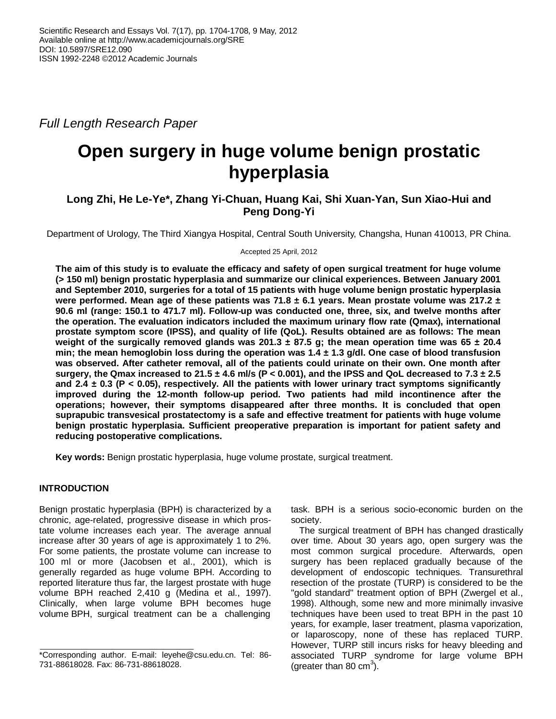*Full Length Research Paper*

# **Open surgery in huge volume benign prostatic hyperplasia**

## **Long Zhi, He Le-Ye\*, Zhang Yi-Chuan, Huang Kai, Shi Xuan-Yan, Sun Xiao-Hui and Peng Dong-Yi**

Department of Urology, The Third Xiangya Hospital, Central South University, Changsha, Hunan 410013, PR China.

Accepted 25 April, 2012

**The aim of this study is to evaluate the efficacy and safety of open surgical treatment for huge volume (> 150 ml) benign prostatic hyperplasia and summarize our clinical experiences. Between January 2001 and September 2010, surgeries for a total of 15 patients with huge volume benign prostatic hyperplasia were performed. Mean age of these patients was 71.8 ± 6.1 years. Mean prostate volume was 217.2 ± 90.6 ml (range: 150.1 to 471.7 ml). Follow-up was conducted one, three, six, and twelve months after the operation. The evaluation indicators included the maximum urinary flow rate (Qmax), international prostate symptom score (IPSS), and quality of life (QoL). Results obtained are as follows: The mean weight of the surgically removed glands was 201.3 ± 87.5 g; the mean operation time was 65 ± 20.4 min; the mean hemoglobin loss during the operation was 1.4 ± 1.3 g/dl. One case of blood transfusion was observed. After catheter removal, all of the patients could urinate on their own. One month after surgery, the Qmax increased to 21.5 ± 4.6 ml/s (P < 0.001), and the IPSS and QoL decreased to 7.3 ± 2.5 and 2.4 ± 0.3 (P < 0.05), respectively. All the patients with lower urinary tract symptoms significantly improved during the 12-month follow-up period. Two patients had mild incontinence after the operations; however, their symptoms disappeared after three months. It is concluded that open suprapubic transvesical prostatectomy is a safe and effective treatment for patients with huge volume benign prostatic hyperplasia. Sufficient preoperative preparation is important for patient safety and reducing postoperative complications.**

**Key words:** Benign prostatic hyperplasia, huge volume prostate, surgical treatment.

## **INTRODUCTION**

Benign prostatic hyperplasia (BPH) is characterized by a chronic, age-related, progressive disease in which prostate volume increases each year. The average annual increase after 30 years of age is approximately 1 to 2%. For some patients, the prostate volume can increase to 100 ml or more (Jacobsen et al., 2001), which is generally regarded as huge volume BPH. According to reported literature thus far, the largest prostate with huge volume BPH reached 2,410 g (Medina et al., 1997). Clinically, when large volume BPH becomes huge volume BPH, surgical treatment can be a challenging

task. BPH is a serious socio-economic burden on the society.

The surgical treatment of BPH has changed drastically over time. About 30 years ago, open surgery was the most common surgical procedure. Afterwards, open surgery has been replaced gradually because of the development of endoscopic techniques. Transurethral resection of the prostate (TURP) is considered to be the "gold standard" treatment option of BPH (Zwergel et al., 1998). Although, some new and more minimally invasive techniques have been used to treat BPH in the past 10 years, for example, laser treatment, plasma vaporization, or laparoscopy, none of these has replaced TURP. However, TURP still incurs risks for heavy bleeding and associated TURP syndrome for large volume BPH (greater than 80  $\text{cm}^3$ ).

<sup>\*</sup>Corresponding author. E-mail: leyehe@csu.edu.cn. Tel: 86- 731-88618028. Fax: 86-731-88618028.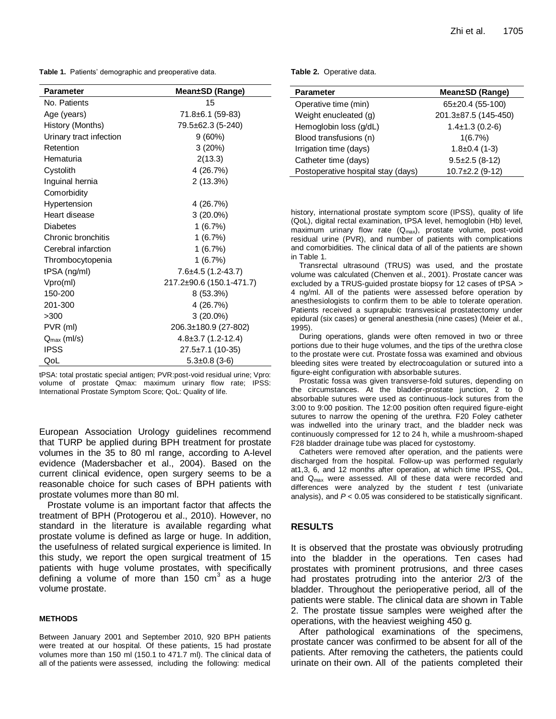**Table 1.** Patients' demographic and preoperative data.

| <b>Parameter</b>        | Mean±SD (Range)          |  |  |  |
|-------------------------|--------------------------|--|--|--|
| No. Patients            | 15                       |  |  |  |
| Age (years)             | 71.8±6.1 (59-83)         |  |  |  |
| History (Months)        | 79.5±62.3 (5-240)        |  |  |  |
| Urinary tract infection | $9(60\%)$                |  |  |  |
| Retention               | 3(20%)                   |  |  |  |
| Hematuria               | 2(13.3)                  |  |  |  |
| Cystolith               | 4 (26.7%)                |  |  |  |
| Inguinal hernia         | 2(13.3%)                 |  |  |  |
| Comorbidity             |                          |  |  |  |
| Hypertension            | 4 (26.7%)                |  |  |  |
| Heart disease           | $3(20.0\%)$              |  |  |  |
| Diabetes                | 1(6.7%)                  |  |  |  |
| Chronic bronchitis      | 1(6.7%)                  |  |  |  |
| Cerebral infarction     | 1(6.7%)                  |  |  |  |
| Thrombocytopenia        | 1(6.7%)                  |  |  |  |
| tPSA (ng/ml)            | $7.6 \pm 4.5$ (1.2-43.7) |  |  |  |
| Vpro(ml)                | 217.2±90.6 (150.1-471.7) |  |  |  |
| 150-200                 | $8(53.3\%)$              |  |  |  |
| 201-300                 | 4 (26.7%)                |  |  |  |
| >300                    | $3(20.0\%)$              |  |  |  |
| PVR (ml)                | 206.3±180.9 (27-802)     |  |  |  |
| $Q_{\text{max}}$ (ml/s) | $4.8 \pm 3.7$ (1.2-12.4) |  |  |  |
| <b>IPSS</b>             | 27.5±7.1 (10-35)         |  |  |  |
| QoL                     | $5.3 \pm 0.8$ (3-6)      |  |  |  |

tPSA: total prostatic special antigen; PVR:post-void residual urine; Vpro: volume of prostate Qmax: maximum urinary flow rate; IPSS: International Prostate Symptom Score; QoL: Quality of life.

European Association Urology guidelines recommend that TURP be applied during BPH treatment for prostate volumes in the 35 to 80 ml range, according to A-level evidence (Madersbacher et al., 2004). Based on the current clinical evidence, open surgery seems to be a reasonable choice for such cases of BPH patients with prostate volumes more than 80 ml.

Prostate volume is an important factor that affects the treatment of BPH (Protogerou et al., 2010). However, no standard in the literature is available regarding what prostate volume is defined as large or huge. In addition, the usefulness of related surgical experience is limited. In this study, we report the open surgical treatment of 15 patients with huge volume prostates, with specifically defining a volume of more than 150  $\text{cm}^3$  as a huge volume prostate.

#### **METHODS**

Between January 2001 and September 2010, 920 BPH patients were treated at our hospital. Of these patients, 15 had prostate volumes more than 150 ml (150.1 to 471.7 ml). The clinical data of all of the patients were assessed, including the following: medical

#### **Table 2.** Operative data.

| <b>Parameter</b>                   | Mean±SD (Range)       |  |  |
|------------------------------------|-----------------------|--|--|
| Operative time (min)               | 65±20.4 (55-100)      |  |  |
| Weight enucleated (g)              | 201.3±87.5 (145-450)  |  |  |
| Hemoglobin loss (g/dL)             | $1.4 \pm 1.3$ (0.2-6) |  |  |
| Blood transfusions (n)             | 1(6.7%)               |  |  |
| Irrigation time (days)             | $1.8 \pm 0.4$ (1-3)   |  |  |
| Catheter time (days)               | $9.5 \pm 2.5$ (8-12)  |  |  |
| Postoperative hospital stay (days) | $10.7 \pm 2.2$ (9-12) |  |  |

history, international prostate symptom score (IPSS), quality of life (QoL), digital rectal examination, tPSA level, hemoglobin (Hb) level, maximum urinary flow rate  $(Q<sub>max</sub>)$ , prostate volume, post-void residual urine (PVR), and number of patients with complications and comorbidities. The clinical data of all of the patients are shown in Table 1.

Transrectal ultrasound (TRUS) was used, and the prostate volume was calculated (Chenven et al., 2001). Prostate cancer was excluded by a TRUS-guided prostate biopsy for 12 cases of tPSA > 4 ng/ml. All of the patients were assessed before operation by anesthesiologists to confirm them to be able to tolerate operation. Patients received a suprapubic transvesical prostatectomy under epidural (six cases) or general anesthesia (nine cases) (Meier et al., 1995).

During operations, glands were often removed in two or three portions due to their huge volumes, and the tips of the urethra close to the prostate were cut. Prostate fossa was examined and obvious bleeding sites were treated by electrocoagulation or sutured into a figure-eight configuration with absorbable sutures.

Prostatic fossa was given transverse-fold sutures, depending on the circumstances. At the bladder-prostate junction, 2 to 0 absorbable sutures were used as continuous-lock sutures from the 3:00 to 9:00 position. The 12:00 position often required figure-eight sutures to narrow the opening of the urethra. F20 Foley catheter was indwelled into the urinary tract, and the bladder neck was continuously compressed for 12 to 24 h, while a mushroom-shaped F28 bladder drainage tube was placed for cystostomy.

Catheters were removed after operation, and the patients were discharged from the hospital. Follow-up was performed regularly at1,3, 6, and 12 months after operation, at which time IPSS, QoL, and Q<sub>max</sub> were assessed. All of these data were recorded and differences were analyzed by the student *t* test (univariate analysis), and *P* < 0.05 was considered to be statistically significant.

#### **RESULTS**

It is observed that the prostate was obviously protruding into the bladder in the operations. Ten cases had prostates with prominent protrusions, and three cases had prostates protruding into the anterior 2/3 of the bladder. Throughout the perioperative period, all of the patients were stable. The clinical data are shown in Table 2. The prostate tissue samples were weighed after the operations, with the heaviest weighing 450 g.

After pathological examinations of the specimens, prostate cancer was confirmed to be absent for all of the patients. After removing the catheters, the patients could urinate on their own. All of the patients completed their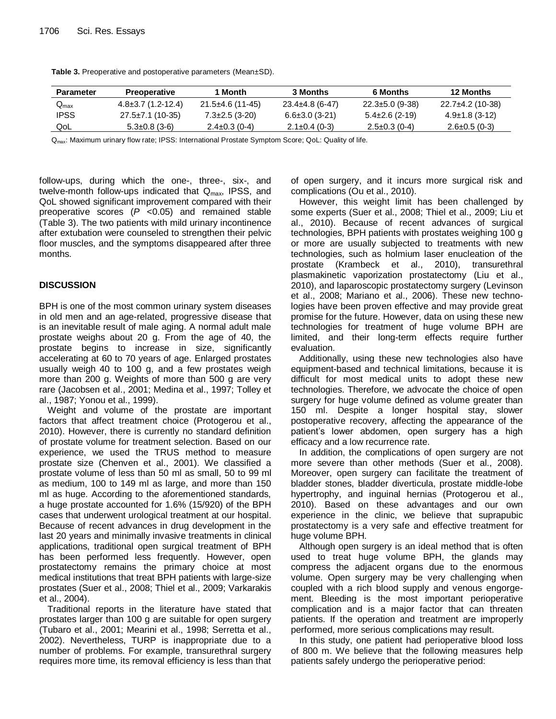| <b>Parameter</b>            | <b>Preoperative</b>   | Month                | <b>3 Months</b>      | 6 Months              | <b>12 Months</b>    |
|-----------------------------|-----------------------|----------------------|----------------------|-----------------------|---------------------|
| $\mathsf{Q}_{\mathsf{max}}$ | $4.8\pm3.7(1.2-12.4)$ | $21.5\pm4.6(11-45)$  | $23.4\pm4.8(6-47)$   | $22.3 \pm 5.0$ (9-38) | 22.7±4.2 (10-38)    |
| <b>IPSS</b>                 | 27.5±7.1 (10-35)      | $7.3 \pm 2.5$ (3-20) | $6.6 \pm 3.0$ (3-21) | $5.4\pm2.6(2-19)$     | $4.9\pm1.8$ (3-12)  |
| QoL                         | $5.3 \pm 0.8$ (3-6)   | $2.4 \pm 0.3$ (0-4)  | $2.1 \pm 0.4$ (0-3)  | $2.5 \pm 0.3$ (0-4)   | $2.6 \pm 0.5$ (0-3) |

**Table 3.** Preoperative and postoperative parameters (Mean±SD).

Qmax: Maximum urinary flow rate; IPSS: International Prostate Symptom Score; QoL: Quality of life.

follow-ups, during which the one-, three-, six-, and twelve-month follow-ups indicated that  $Q_{\text{max}}$ , IPSS, and QoL showed significant improvement compared with their preoperative scores (*P* <0.05) and remained stable (Table 3). The two patients with mild urinary incontinence after extubation were counseled to strengthen their pelvic floor muscles, and the symptoms disappeared after three months.

### **DISCUSSION**

BPH is one of the most common urinary system diseases in old men and an age-related, progressive disease that is an inevitable result of male aging. A normal adult male prostate weighs about 20 g. From the age of 40, the prostate begins to increase in size, significantly accelerating at 60 to 70 years of age. Enlarged prostates usually weigh 40 to 100 g, and a few prostates weigh more than 200 g. Weights of more than 500 g are very rare (Jacobsen et al., 2001; Medina et al., 1997; Tolley et al., 1987; Yonou et al., 1999).

Weight and volume of the prostate are important factors that affect treatment choice (Protogerou et al., 2010). However, there is currently no standard definition of prostate volume for treatment selection. Based on our experience, we used the TRUS method to measure prostate size (Chenven et al., 2001). We classified a prostate volume of less than 50 ml as small, 50 to 99 ml as medium, 100 to 149 ml as large, and more than 150 ml as huge. According to the aforementioned standards, a huge prostate accounted for 1.6% (15/920) of the BPH cases that underwent urological treatment at our hospital. Because of recent advances in drug development in the last 20 years and minimally invasive treatments in clinical applications, traditional open surgical treatment of BPH has been performed less frequently. However, open prostatectomy remains the primary choice at most medical institutions that treat BPH patients with large-size prostates (Suer et al., 2008; Thiel et al., 2009; Varkarakis et al., 2004).

Traditional reports in the literature have stated that prostates larger than 100 g are suitable for open surgery (Tubaro et al., 2001; Mearini et al., 1998; Serretta et al., 2002). Nevertheless, TURP is inappropriate due to a number of problems. For example, transurethral surgery requires more time, its removal efficiency is less than that

of open surgery, and it incurs more surgical risk and complications (Ou et al., 2010).

However, this weight limit has been challenged by some experts (Suer et al., 2008; Thiel et al., 2009; Liu et al., 2010). Because of recent advances of surgical technologies, BPH patients with prostates weighing 100 g or more are usually subjected to treatments with new technologies, such as holmium laser enucleation of the prostate (Krambeck et al., 2010), transurethral plasmakinetic vaporization prostatectomy (Liu et al., 2010), and laparoscopic prostatectomy surgery (Levinson et al., 2008; Mariano et al., 2006). These new technologies have been proven effective and may provide great promise for the future. However, data on using these new technologies for treatment of huge volume BPH are limited, and their long-term effects require further evaluation.

Additionally, using these new technologies also have equipment-based and technical limitations, because it is difficult for most medical units to adopt these new technologies. Therefore, we advocate the choice of open surgery for huge volume defined as volume greater than 150 ml. Despite a longer hospital stay, slower postoperative recovery, affecting the appearance of the patient's lower abdomen, open surgery has a high efficacy and a low recurrence rate.

In addition, the complications of open surgery are not more severe than other methods (Suer et al., 2008). Moreover, open surgery can facilitate the treatment of bladder stones, bladder diverticula, prostate middle-lobe hypertrophy, and inguinal hernias (Protogerou et al., 2010). Based on these advantages and our own experience in the clinic, we believe that suprapubic prostatectomy is a very safe and effective treatment for huge volume BPH.

Although open surgery is an ideal method that is often used to treat huge volume BPH, the glands may compress the adjacent organs due to the enormous volume. Open surgery may be very challenging when coupled with a rich blood supply and venous engorgement. Bleeding is the most important perioperative complication and is a major factor that can threaten patients. If the operation and treatment are improperly performed, more serious complications may result.

In this study, one patient had perioperative blood loss of 800 m. We believe that the following measures help patients safely undergo the perioperative period: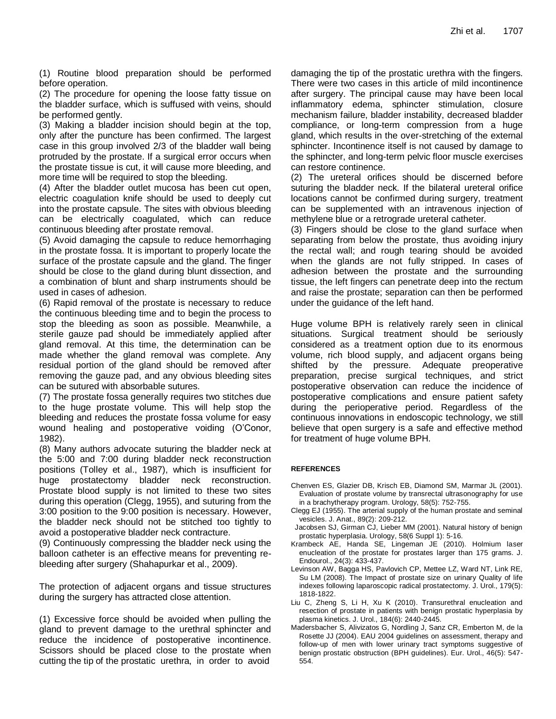(1) Routine blood preparation should be performed before operation.

(2) The procedure for opening the loose fatty tissue on the bladder surface, which is suffused with veins, should be performed gently.

(3) Making a bladder incision should begin at the top, only after the puncture has been confirmed. The largest case in this group involved 2/3 of the bladder wall being protruded by the prostate. If a surgical error occurs when the prostate tissue is cut, it will cause more bleeding, and more time will be required to stop the bleeding.

(4) After the bladder outlet mucosa has been cut open, electric coagulation knife should be used to deeply cut into the prostate capsule. The sites with obvious bleeding can be electrically coagulated, which can reduce continuous bleeding after prostate removal.

(5) Avoid damaging the capsule to reduce hemorrhaging in the prostate fossa. It is important to properly locate the surface of the prostate capsule and the gland. The finger should be close to the gland during blunt dissection, and a combination of blunt and sharp instruments should be used in cases of adhesion.

(6) Rapid removal of the prostate is necessary to reduce the continuous bleeding time and to begin the process to stop the bleeding as soon as possible. Meanwhile, a sterile gauze pad should be immediately applied after gland removal. At this time, the determination can be made whether the gland removal was complete. Any residual portion of the gland should be removed after removing the gauze pad, and any obvious bleeding sites can be sutured with absorbable sutures.

(7) The prostate fossa generally requires two stitches due to the huge prostate volume. This will help stop the bleeding and reduces the prostate fossa volume for easy wound healing and postoperative voiding (O'Conor, 1982).

(8) Many authors advocate suturing the bladder neck at the 5:00 and 7:00 during bladder neck reconstruction positions (Tolley et al., 1987), which is insufficient for huge prostatectomy bladder neck reconstruction. Prostate blood supply is not limited to these two sites during this operation (Clegg, 1955), and suturing from the 3:00 position to the 9:00 position is necessary. However, the bladder neck should not be stitched too tightly to avoid a postoperative bladder neck contracture.

(9) Continuously compressing the bladder neck using the balloon catheter is an effective means for preventing rebleeding after surgery (Shahapurkar et al., 2009).

The protection of adjacent organs and tissue structures during the surgery has attracted close attention.

(1) Excessive force should be avoided when pulling the gland to prevent damage to the urethral sphincter and reduce the incidence of postoperative incontinence. Scissors should be placed close to the prostate when cutting the tip of the prostatic urethra, in order to avoid

damaging the tip of the prostatic urethra with the fingers. There were two cases in this article of mild incontinence after surgery. The principal cause may have been local inflammatory edema, sphincter stimulation, closure mechanism failure, bladder instability, decreased bladder compliance, or long-term compression from a huge gland, which results in the over-stretching of the external sphincter. Incontinence itself is not caused by damage to the sphincter, and long-term pelvic floor muscle exercises can restore continence.

(2) The ureteral orifices should be discerned before suturing the bladder neck. If the bilateral ureteral orifice locations cannot be confirmed during surgery, treatment can be supplemented with an intravenous injection of methylene blue or a retrograde ureteral catheter.

(3) Fingers should be close to the gland surface when separating from below the prostate, thus avoiding injury the rectal wall; and rough tearing should be avoided when the glands are not fully stripped. In cases of adhesion between the prostate and the surrounding tissue, the left fingers can penetrate deep into the rectum and raise the prostate; separation can then be performed under the guidance of the left hand.

Huge volume BPH is relatively rarely seen in clinical situations. Surgical treatment should be seriously considered as a treatment option due to its enormous volume, rich blood supply, and adjacent organs being shifted by the pressure. Adequate preoperative preparation, precise surgical techniques, and strict postoperative observation can reduce the incidence of postoperative complications and ensure patient safety during the perioperative period. Regardless of the continuous innovations in endoscopic technology, we still believe that open surgery is a safe and effective method for treatment of huge volume BPH.

#### **REFERENCES**

- Chenven ES, Glazier DB, Krisch EB, Diamond SM, Marmar JL (2001). Evaluation of prostate volume by transrectal ultrasonography for use in a brachytherapy program. Urology, 58(5): 752-755.
- Clegg EJ (1955). The arterial supply of the human prostate and seminal vesicles. J. Anat., 89(2): 209-212.
- Jacobsen SJ, Girman CJ, Lieber MM (2001). Natural history of benign prostatic hyperplasia. Urology, 58(6 Suppl 1): 5-16.
- Krambeck AE, Handa SE, Lingeman JE (2010). Holmium laser enucleation of the prostate for prostates larger than 175 grams. J. Endourol., 24(3): 433-437.
- Levinson AW, Bagga HS, Pavlovich CP, Mettee LZ, Ward NT, Link RE, Su LM (2008). The Impact of prostate size on urinary Quality of life indexes following laparoscopic radical prostatectomy. J. Urol., 179(5): 1818-1822.
- Liu C, Zheng S, Li H, Xu K (2010). Transurethral enucleation and resection of prostate in patients with benign prostatic hyperplasia by plasma kinetics. J. Urol., 184(6): 2440-2445.
- Madersbacher S, Alivizatos G, Nordling J, Sanz CR, Emberton M, de la Rosette JJ (2004). EAU 2004 guidelines on assessment, therapy and follow-up of men with lower urinary tract symptoms suggestive of benign prostatic obstruction (BPH guidelines). Eur. Urol., 46(5): 547- 554.